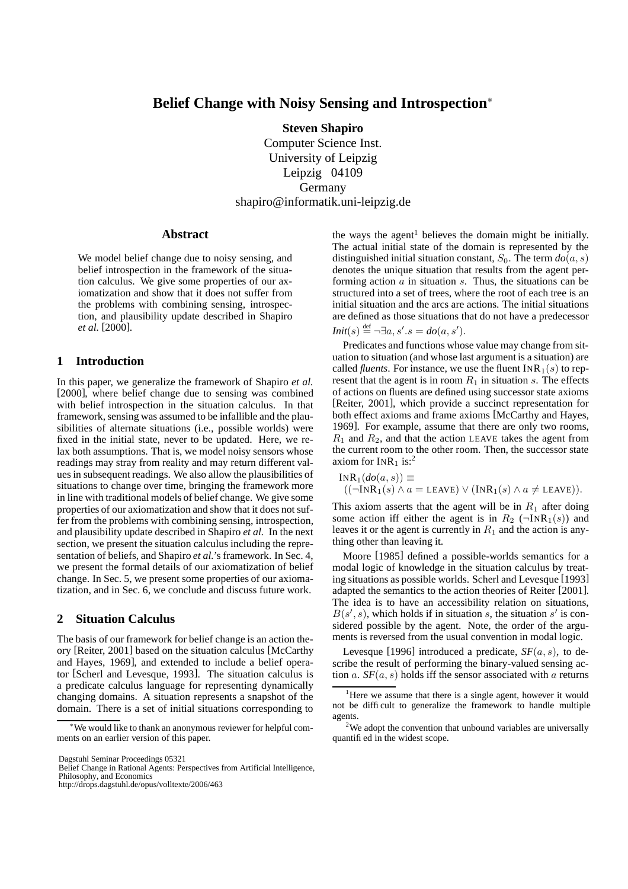# **Belief Change with Noisy Sensing and Introspection**<sup>∗</sup>

**Steven Shapiro**

Computer Science Inst. University of Leipzig Leipzig 04109 Germany shapiro@informatik.uni-leipzig.de

### **Abstract**

We model belief change due to noisy sensing, and belief introspection in the framework of the situation calculus. We give some properties of our axiomatization and show that it does not suffer from the problems with combining sensing, introspection, and plausibility update described in Shapiro *et al.* [2000].

# **1 Introduction**

In this paper, we generalize the framework of Shapiro *et al.* [2000], where belief change due to sensing was combined with belief introspection in the situation calculus. In that framework, sensing was assumed to be infallible and the plausibilities of alternate situations (i.e., possible worlds) were fixed in the initial state, never to be updated. Here, we relax both assumptions. That is, we model noisy sensors whose readings may stray from reality and may return different values in subsequent readings. We also allow the plausibilities of situations to change over time, bringing the framework more in line with traditional models of belief change. We give some properties of our axiomatization and show that it does not suffer from the problems with combining sensing, introspection, and plausibility update described in Shapiro *et al.* In the next section, we present the situation calculus including the representation of beliefs, and Shapiro *et al.*'s framework. In Sec. 4, we present the formal details of our axiomatization of belief change. In Sec. 5, we present some properties of our axiomatization, and in Sec. 6, we conclude and discuss future work.

# **2 Situation Calculus**

The basis of our framework for belief change is an action theory [Reiter, 2001] based on the situation calculus [McCarthy and Hayes, 1969], and extended to include a belief operator [Scherl and Levesque, 1993]. The situation calculus is a predicate calculus language for representing dynamically changing domains. A situation represents a snapshot of the domain. There is a set of initial situations corresponding to

Belief Change in Rational Agents: Perspectives from Artificial Intelligence, Philosophy, and Economics

http://drops.dagstuhl.de/opus/volltexte/2006/463

the ways the agent<sup>1</sup> believes the domain might be initially. The actual initial state of the domain is represented by the distinguished initial situation constant,  $S_0$ . The term  $do(a, s)$ denotes the unique situation that results from the agent performing action  $\alpha$  in situation  $\alpha$ . Thus, the situations can be structured into a set of trees, where the root of each tree is an initial situation and the arcs are actions. The initial situations are defined as those situations that do not have a predecessor  $Init(s) \stackrel{\text{def}}{=} \neg \exists a, s'.s = do(a, s').$ 

Predicates and functions whose value may change from situation to situation (and whose last argument is a situation) are called *fluents*. For instance, we use the fluent  $INR_1(s)$  to represent that the agent is in room  $R_1$  in situation s. The effects of actions on fluents are defined using successor state axioms [Reiter, 2001], which provide a succinct representation for both effect axioms and frame axioms [McCarthy and Hayes, 1969]. For example, assume that there are only two rooms,  $R_1$  and  $R_2$ , and that the action LEAVE takes the agent from the current room to the other room. Then, the successor state axiom for  $INR<sub>1</sub>$  is:<sup>2</sup>

$$
INR1(do(a, s)) \equiv
$$
  
((¬INR<sub>1</sub>(s) ∧ a = LEAVE) ∨ (INR<sub>1</sub>(s) ∧ a ≠ LEAVE)).

This axiom asserts that the agent will be in  $R_1$  after doing some action iff either the agent is in  $R_2$  ( $\neg \text{INR}_1(s)$ ) and leaves it or the agent is currently in  $R_1$  and the action is anything other than leaving it.

Moore [1985] defined a possible-worlds semantics for a modal logic of knowledge in the situation calculus by treating situations as possible worlds. Scherl and Levesque [1993] adapted the semantics to the action theories of Reiter [2001]. The idea is to have an accessibility relation on situations,  $B(s', s)$ , which holds if in situation s, the situation s' is considered possible by the agent. Note, the order of the arguments is reversed from the usual convention in modal logic.

Levesque [1996] introduced a predicate,  $SF(a, s)$ , to describe the result of performing the binary-valued sensing action  $a. SF(a, s)$  holds iff the sensor associated with  $a$  returns

<sup>∗</sup>We would like to thank an anonymous reviewer for helpful comments on an earlier version of this paper.

Dagstuhl Seminar Proceedings 05321

<sup>&</sup>lt;sup>1</sup>Here we assume that there is a single agent, however it would not be difficult to generalize the framework to handle multiple agents.

<sup>&</sup>lt;sup>2</sup>We adopt the convention that unbound variables are universally quantified in the widest scope.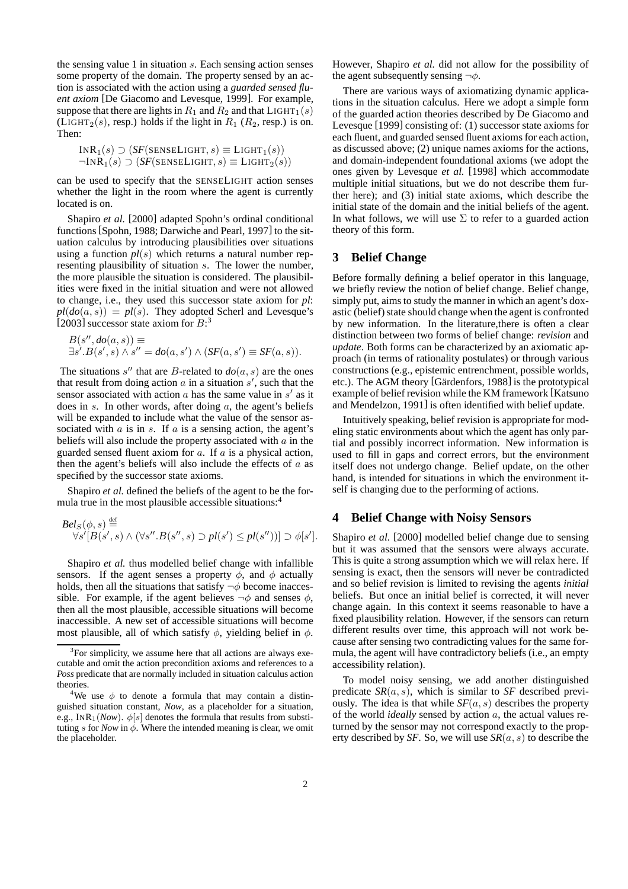the sensing value 1 in situation  $s$ . Each sensing action senses some property of the domain. The property sensed by an action is associated with the action using a *guarded sensed fluent axiom* [De Giacomo and Levesque, 1999]. For example, suppose that there are lights in  $R_1$  and  $R_2$  and that  $L$ IGHT<sub>1</sub>(s) (LIGHT<sub>2</sub>(s), resp.) holds if the light in  $R_1$  ( $R_2$ , resp.) is on. Then:

$$
INR1(s) \supset (SF(SENSELIGHT, s) \equiv LIGHT1(s))
$$
  

$$
\neg INR1(s) \supset (SF(SENSELIGHT, s) \equiv LIGHT2(s))
$$

can be used to specify that the SENSELIGHT action senses whether the light in the room where the agent is currently located is on.

Shapiro *et al.* [2000] adapted Spohn's ordinal conditional functions [Spohn, 1988; Darwiche and Pearl, 1997] to the situation calculus by introducing plausibilities over situations using a function  $pl(s)$  which returns a natural number representing plausibility of situation s. The lower the number, the more plausible the situation is considered. The plausibilities were fixed in the initial situation and were not allowed to change, i.e., they used this successor state axiom for *pl*:  $pl(do(a, s)) = pl(s)$ . They adopted Scherl and Levesque's [2003] successor state axiom for  $B$ :<sup>3</sup>

$$
B(s'',do(a,s)) \equiv
$$
  

$$
\exists s'.B(s',s) \land s'' = do(a,s') \land (SF(a,s') \equiv SF(a,s)).
$$

The situations  $s''$  that are B-related to  $do(a, s)$  are the ones that result from doing action  $\alpha$  in a situation  $s'$ , such that the sensor associated with action  $a$  has the same value in  $s'$  as it does in s. In other words, after doing  $a$ , the agent's beliefs will be expanded to include what the value of the sensor associated with  $a$  is in  $s$ . If  $a$  is a sensing action, the agent's beliefs will also include the property associated with  $\alpha$  in the guarded sensed fluent axiom for  $a$ . If  $a$  is a physical action, then the agent's beliefs will also include the effects of  $a$  as specified by the successor state axioms.

Shapiro *et al.* defined the beliefs of the agent to be the formula true in the most plausible accessible situations:<sup>4</sup>

$$
\text{Bel}_S(\phi, s) \stackrel{\text{def}}{=} \forall s'[B(s', s) \land (\forall s''.B(s'', s) \supset pl(s') \le pl(s''))] \supset \phi[s'].
$$

Shapiro *et al.* thus modelled belief change with infallible sensors. If the agent senses a property  $\phi$ , and  $\phi$  actually holds, then all the situations that satisfy  $\neg \phi$  become inaccessible. For example, if the agent believes  $\neg \phi$  and senses  $\phi$ , then all the most plausible, accessible situations will become inaccessible. A new set of accessible situations will become most plausible, all of which satisfy  $\phi$ , yielding belief in  $\phi$ .

However, Shapiro *et al.* did not allow for the possibility of the agent subsequently sensing  $\neg \phi$ .

There are various ways of axiomatizing dynamic applications in the situation calculus. Here we adopt a simple form of the guarded action theories described by De Giacomo and Levesque [1999] consisting of: (1) successor state axioms for each fluent, and guarded sensed fluent axioms for each action, as discussed above; (2) unique names axioms for the actions, and domain-independent foundational axioms (we adopt the ones given by Levesque *et al.* [1998] which accommodate multiple initial situations, but we do not describe them further here); and (3) initial state axioms, which describe the initial state of the domain and the initial beliefs of the agent. In what follows, we will use  $\Sigma$  to refer to a guarded action theory of this form.

# **3 Belief Change**

Before formally defining a belief operator in this language, we briefly review the notion of belief change. Belief change, simply put, aims to study the manner in which an agent's doxastic (belief) state should change when the agent is confronted by new information. In the literature,there is often a clear distinction between two forms of belief change: *revision* and *update*. Both forms can be characterized by an axiomatic approach (in terms of rationality postulates) or through various constructions (e.g., epistemic entrenchment, possible worlds, etc.). The AGM theory [Gärdenfors, 1988] is the prototypical example of belief revision while the KM framework [Katsuno and Mendelzon, 1991] is often identified with belief update.

Intuitively speaking, belief revision is appropriate for modeling static environments about which the agent has only partial and possibly incorrect information. New information is used to fill in gaps and correct errors, but the environment itself does not undergo change. Belief update, on the other hand, is intended for situations in which the environment itself is changing due to the performing of actions.

# **4 Belief Change with Noisy Sensors**

Shapiro *et al.* [2000] modelled belief change due to sensing but it was assumed that the sensors were always accurate. This is quite a strong assumption which we will relax here. If sensing is exact, then the sensors will never be contradicted and so belief revision is limited to revising the agents *initial* beliefs. But once an initial belief is corrected, it will never change again. In this context it seems reasonable to have a fixed plausibility relation. However, if the sensors can return different results over time, this approach will not work because after sensing two contradicting values for the same formula, the agent will have contradictory beliefs (i.e., an empty accessibility relation).

To model noisy sensing, we add another distinguished predicate  $SR(a, s)$ , which is similar to  $SF$  described previously. The idea is that while  $SF(a, s)$  describes the property of the world *ideally* sensed by action a, the actual values returned by the sensor may not correspond exactly to the property described by *SF*. So, we will use *SR*(a, s) to describe the

 $3$ For simplicity, we assume here that all actions are always executable and omit the action precondition axioms and references to a *Poss* predicate that are normally included in situation calculus action theories.

<sup>&</sup>lt;sup>4</sup>We use  $\phi$  to denote a formula that may contain a distinguished situation constant, *Now*, as a placeholder for a situation, e.g.,  $INR_1(Now)$ .  $\phi[s]$  denotes the formula that results from substituting s for *Now* in  $\phi$ . Where the intended meaning is clear, we omit the placeholder.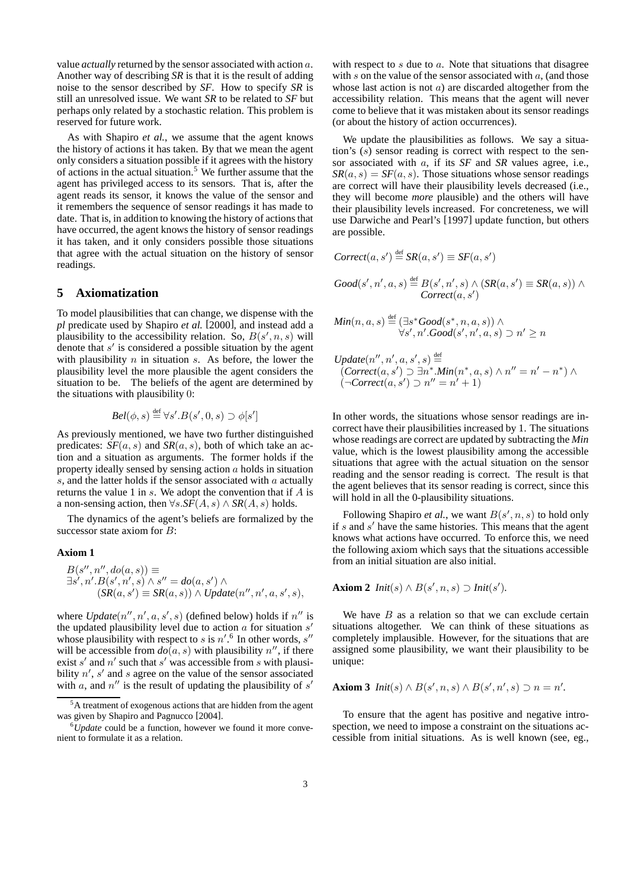value *actually* returned by the sensor associated with action a. Another way of describing *SR* is that it is the result of adding noise to the sensor described by *SF*. How to specify *SR* is still an unresolved issue. We want *SR* to be related to *SF* but perhaps only related by a stochastic relation. This problem is reserved for future work.

As with Shapiro *et al.*, we assume that the agent knows the history of actions it has taken. By that we mean the agent only considers a situation possible if it agrees with the history of actions in the actual situation.<sup>5</sup> We further assume that the agent has privileged access to its sensors. That is, after the agent reads its sensor, it knows the value of the sensor and it remembers the sequence of sensor readings it has made to date. That is, in addition to knowing the history of actions that have occurred, the agent knows the history of sensor readings it has taken, and it only considers possible those situations that agree with the actual situation on the history of sensor readings.

# **5 Axiomatization**

To model plausibilities that can change, we dispense with the *pl* predicate used by Shapiro *et al.* [2000], and instead add a plausibility to the accessibility relation. So,  $B(s', n, s)$  will denote that  $s'$  is considered a possible situation by the agent with plausibility  $n$  in situation  $s$ . As before, the lower the plausibility level the more plausible the agent considers the situation to be. The beliefs of the agent are determined by the situations with plausibility 0:

$$
Bel(\phi, s) \stackrel{\text{def}}{=} \forall s'. B(s', 0, s) \supset \phi[s']
$$

As previously mentioned, we have two further distinguished predicates:  $SF(a, s)$  and  $SR(a, s)$ , both of which take an action and a situation as arguments. The former holds if the property ideally sensed by sensing action  $a$  holds in situation s, and the latter holds if the sensor associated with a actually returns the value 1 in  $s$ . We adopt the convention that if  $A$  is a non-sensing action, then  $\forall s.\overline{SF}(A, s) \wedge \overline{SR}(A, s)$  holds.

The dynamics of the agent's beliefs are formalized by the successor state axiom for  $B$ :

#### **Axiom 1**

$$
B(s'', n'', do(a, s)) \equiv
$$
  
\n
$$
\exists s', n'.B(s', n', s) \land s'' = do(a, s') \land
$$
  
\n
$$
(SR(a, s') \equiv SR(a, s)) \land Update(n'', n', a, s', s),
$$

where  $Update(n'', n', a, s', s)$  (defined below) holds if  $n''$  is the updated plausibility level due to action  $\alpha$  for situation  $s'$ whose plausibility with respect to s is  $n'.^6$  In other words, s'' will be accessible from  $d\rho(a, s)$  with plausibility n'', if there exist s' and n' such that s' was accessible from s with plausibility  $n'$ , s' and s agree on the value of the sensor associated with a, and  $n''$  is the result of updating the plausibility of s'

with respect to  $s$  due to  $a$ . Note that situations that disagree with  $s$  on the value of the sensor associated with  $a$ , (and those whose last action is not  $a$ ) are discarded altogether from the accessibility relation. This means that the agent will never come to believe that it was mistaken about its sensor readings (or about the history of action occurrences).

We update the plausibilities as follows. We say a situation's  $(s)$  sensor reading is correct with respect to the sensor associated with a, if its *SF* and *SR* values agree, i.e.,  $SR(a, s) = SF(a, s)$ . Those situations whose sensor readings are correct will have their plausibility levels decreased (i.e., they will become *more* plausible) and the others will have their plausibility levels increased. For concreteness, we will use Darwiche and Pearl's [1997] update function, but others are possible.

$$
Correct(a, s') \stackrel{\text{def}}{=} SR(a, s') \equiv SF(a, s')
$$

$$
Good(s', n', a, s) \stackrel{\text{def}}{=} B(s', n', s) \land (SR(a, s') \equiv SR(a, s)) \land
$$
  
Correct(a, s')

 $Min(n, a, s) \stackrel{\text{def}}{=} (\exists s^*Good(s^*, n, a, s)) \land$  $\forall s',n'.Good(s',n',a,s) \supset n' \geq n$ 

 $Update(n'', n', a, s', s) \stackrel{\text{def}}{=}$  $(Correct(a, s') \supset \exists n^* \cdot Min(n^*, a, s) \wedge n'' = n' - n^*) \wedge$  $\overrightarrow{Correct}(a, s') \supset n'' = n' + 1)$ 

In other words, the situations whose sensor readings are incorrect have their plausibilities increased by 1. The situations whose readings are correct are updated by subtracting the *Min* value, which is the lowest plausibility among the accessible situations that agree with the actual situation on the sensor reading and the sensor reading is correct. The result is that the agent believes that its sensor reading is correct, since this will hold in all the 0-plausibility situations.

Following Shapiro *et al.*, we want  $B(s', n, s)$  to hold only if s and s' have the same histories. This means that the agent knows what actions have occurred. To enforce this, we need the following axiom which says that the situations accessible from an initial situation are also initial.

**Axiom 2** 
$$
Init(s) \wedge B(s', n, s) \supset
$$
  $Init(s').$ 

We have  $B$  as a relation so that we can exclude certain situations altogether. We can think of these situations as completely implausible. However, for the situations that are assigned some plausibility, we want their plausibility to be unique:

**Axiom 3** *Init*(
$$
s
$$
)  $\wedge$   $B(s', n, s) \wedge B(s', n', s) \supset n = n'.$ 

To ensure that the agent has positive and negative introspection, we need to impose a constraint on the situations accessible from initial situations. As is well known (see, eg.,

 $5A$  treatment of exogenous actions that are hidden from the agent was given by Shapiro and Pagnucco [2004].

<sup>6</sup>*Update* could be a function, however we found it more convenient to formulate it as a relation.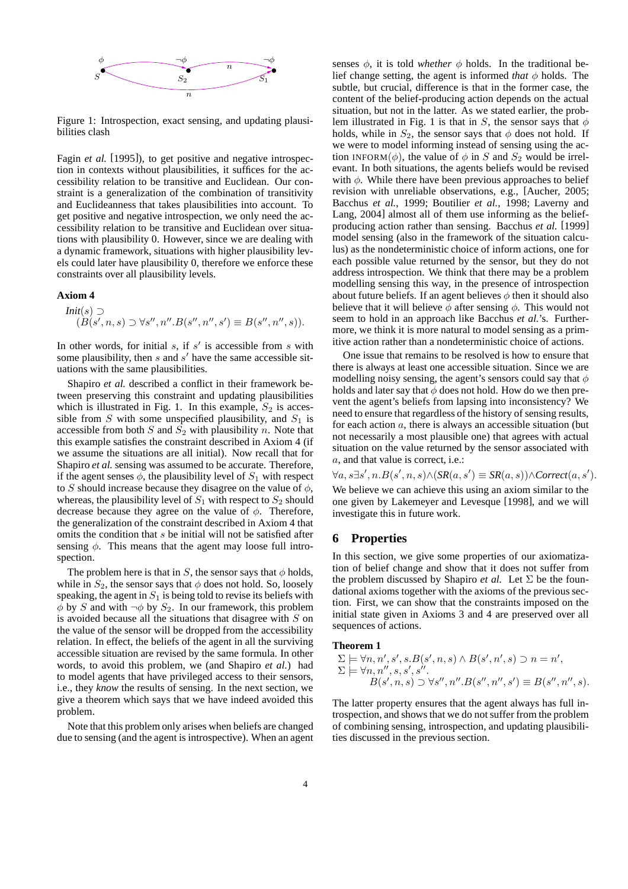

Figure 1: Introspection, exact sensing, and updating plausibilities clash

Fagin *et al.* [1995]), to get positive and negative introspection in contexts without plausibilities, it suffices for the accessibility relation to be transitive and Euclidean. Our constraint is a generalization of the combination of transitivity and Euclideanness that takes plausibilities into account. To get positive and negative introspection, we only need the accessibility relation to be transitive and Euclidean over situations with plausibility 0. However, since we are dealing with a dynamic framework, situations with higher plausibility levels could later have plausibility 0, therefore we enforce these constraints over all plausibility levels.

### **Axiom 4**

$$
Init(s) \supset
$$
  
( $B(s', n, s) \supset \forall s'', n''.B(s'', n'', s') \equiv B(s'', n'', s)).$ 

In other words, for initial  $s$ , if  $s'$  is accessible from  $s$  with some plausibility, then  $s$  and  $s'$  have the same accessible situations with the same plausibilities.

Shapiro *et al.* described a conflict in their framework between preserving this constraint and updating plausibilities which is illustrated in Fig. 1. In this example,  $S_2$  is accessible from S with some unspecified plausibility, and  $S_1$  is accessible from both  $S$  and  $S_2$  with plausibility n. Note that this example satisfies the constraint described in Axiom 4 (if we assume the situations are all initial). Now recall that for Shapiro *et al.* sensing was assumed to be accurate. Therefore, if the agent senses  $\phi$ , the plausibility level of  $S_1$  with respect to S should increase because they disagree on the value of  $\phi$ , whereas, the plausibility level of  $S_1$  with respect to  $S_2$  should decrease because they agree on the value of  $\phi$ . Therefore, the generalization of the constraint described in Axiom 4 that omits the condition that s be initial will not be satisfied after sensing  $\phi$ . This means that the agent may loose full introspection.

The problem here is that in S, the sensor says that  $\phi$  holds, while in  $S_2$ , the sensor says that  $\phi$  does not hold. So, loosely speaking, the agent in  $S_1$  is being told to revise its beliefs with  $\phi$  by S and with  $\neg \phi$  by  $S_2$ . In our framework, this problem is avoided because all the situations that disagree with  $S$  on the value of the sensor will be dropped from the accessibility relation. In effect, the beliefs of the agent in all the surviving accessible situation are revised by the same formula. In other words, to avoid this problem, we (and Shapiro *et al.*) had to model agents that have privileged access to their sensors, i.e., they *know* the results of sensing. In the next section, we give a theorem which says that we have indeed avoided this problem.

Note that this problem only arises when beliefs are changed due to sensing (and the agent is introspective). When an agent

senses  $\phi$ , it is told *whether*  $\phi$  holds. In the traditional belief change setting, the agent is informed *that*  $\phi$  holds. The subtle, but crucial, difference is that in the former case, the content of the belief-producing action depends on the actual situation, but not in the latter. As we stated earlier, the problem illustrated in Fig. 1 is that in S, the sensor says that  $\phi$ holds, while in  $S_2$ , the sensor says that  $\phi$  does not hold. If we were to model informing instead of sensing using the action INFORM( $\phi$ ), the value of  $\phi$  in S and  $S_2$  would be irrelevant. In both situations, the agents beliefs would be revised with  $\phi$ . While there have been previous approaches to belief revision with unreliable observations, e.g., [Aucher, 2005; Bacchus *et al.*, 1999; Boutilier *et al.*, 1998; Laverny and Lang, 2004] almost all of them use informing as the beliefproducing action rather than sensing. Bacchus *et al.* [1999] model sensing (also in the framework of the situation calculus) as the nondeterministic choice of inform actions, one for each possible value returned by the sensor, but they do not address introspection. We think that there may be a problem modelling sensing this way, in the presence of introspection about future beliefs. If an agent believes  $\phi$  then it should also believe that it will believe  $\phi$  after sensing  $\phi$ . This would not seem to hold in an approach like Bacchus *et al.*'s. Furthermore, we think it is more natural to model sensing as a primitive action rather than a nondeterministic choice of actions.

One issue that remains to be resolved is how to ensure that there is always at least one accessible situation. Since we are modelling noisy sensing, the agent's sensors could say that  $\phi$ holds and later say that  $\phi$  does not hold. How do we then prevent the agent's beliefs from lapsing into inconsistency? We need to ensure that regardless of the history of sensing results, for each action  $a$ , there is always an accessible situation (but not necessarily a most plausible one) that agrees with actual situation on the value returned by the sensor associated with a, and that value is correct, i.e.:

 $\forall a, s \exists s', n.B(s', n, s) \land (SR(a, s') \equiv SR(a, s)) \land Correct(a, s').$ 

We believe we can achieve this using an axiom similar to the one given by Lakemeyer and Levesque [1998], and we will investigate this in future work.

### **6 Properties**

In this section, we give some properties of our axiomatization of belief change and show that it does not suffer from the problem discussed by Shapiro *et al.* Let  $\Sigma$  be the foundational axioms together with the axioms of the previous section. First, we can show that the constraints imposed on the initial state given in Axioms 3 and 4 are preserved over all sequences of actions.

#### **Theorem 1**

$$
\Sigma \models \forall n, n', s', s.B(s', n, s) \land B(s', n', s) \supset n = n',
$$
  
\n
$$
\Sigma \models \forall n, n'', s, s', s''.
$$
  
\n
$$
B(s', n, s) \supset \forall s'', n''.B(s'', n'', s') \equiv B(s'', n'', s).
$$

The latter property ensures that the agent always has full introspection, and shows that we do not suffer from the problem of combining sensing, introspection, and updating plausibilities discussed in the previous section.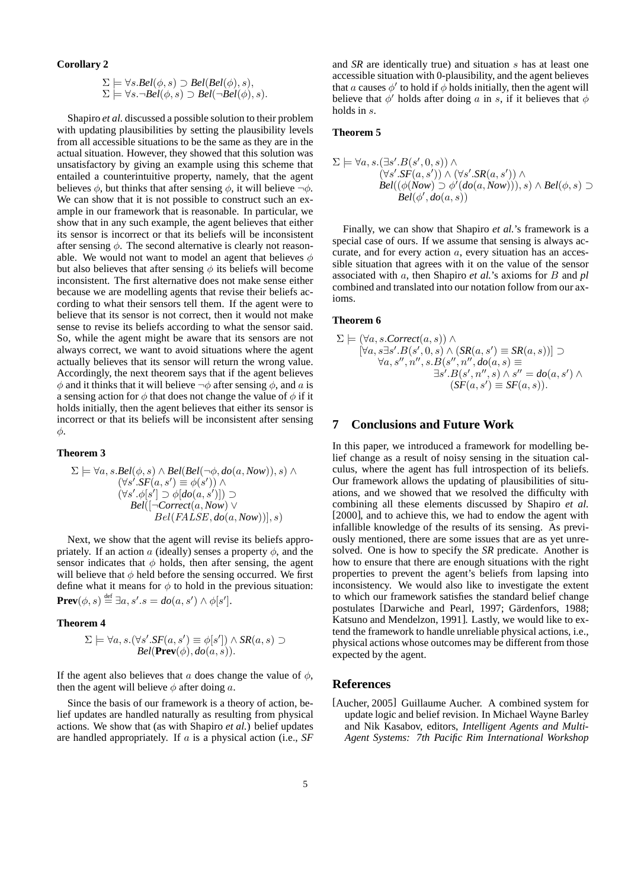#### **Corollary 2**

$$
\Sigma \models \forall s. Bel(\phi, s) \supset Bel(Bel(\phi), s),
$$
  

$$
\Sigma \models \forall s. \neg Bel(\phi, s) \supset Bel(\neg Bel(\phi), s).
$$

Shapiro *et al.* discussed a possible solution to their problem with updating plausibilities by setting the plausibility levels from all accessible situations to be the same as they are in the actual situation. However, they showed that this solution was unsatisfactory by giving an example using this scheme that entailed a counterintuitive property, namely, that the agent believes  $\phi$ , but thinks that after sensing  $\phi$ , it will believe  $\neg \phi$ . We can show that it is not possible to construct such an example in our framework that is reasonable. In particular, we show that in any such example, the agent believes that either its sensor is incorrect or that its beliefs will be inconsistent after sensing  $\phi$ . The second alternative is clearly not reasonable. We would not want to model an agent that believes  $\phi$ but also believes that after sensing  $\phi$  its beliefs will become inconsistent. The first alternative does not make sense either because we are modelling agents that revise their beliefs according to what their sensors tell them. If the agent were to believe that its sensor is not correct, then it would not make sense to revise its beliefs according to what the sensor said. So, while the agent might be aware that its sensors are not always correct, we want to avoid situations where the agent actually believes that its sensor will return the wrong value. Accordingly, the next theorem says that if the agent believes  $\phi$  and it thinks that it will believe  $\neg \phi$  after sensing  $\phi$ , and a is a sensing action for  $\phi$  that does not change the value of  $\phi$  if it holds initially, then the agent believes that either its sensor is incorrect or that its beliefs will be inconsistent after sensing φ.

#### **Theorem 3**

$$
\Sigma \models \forall a, s. \text{Bel}(\phi, s) \land \text{Bel}(\text{Bel}(\neg \phi, do(a, Now)), s) \land (\forall s'. \text{SF}(a, s') \equiv \phi(s')) \land (\forall s'. \phi[s'] \supset \phi[do(a, s')]) \supset \text{Bel}([-\text{Correct}(a, Now) \lor \text{Bel}(\text{FALSE}, do(a, Now))], s)
$$

Next, we show that the agent will revise its beliefs appropriately. If an action a (ideally) senses a property  $\phi$ , and the sensor indicates that  $\phi$  holds, then after sensing, the agent will believe that  $\phi$  held before the sensing occurred. We first define what it means for  $\phi$  to hold in the previous situation: **Prev** $(\phi, s) \stackrel{\text{def}}{=} \exists a, s'.s = do(a, s') \land \phi[s']$ .

#### **Theorem 4**

$$
\Sigma \models \forall a, s. (\forall s'.SF(a, s') \equiv \phi[s']) \land SR(a, s) \supset
$$
  
Bel(Prev( $\phi$ ),  $do(a, s)$ ).

If the agent also believes that a does change the value of  $\phi$ , then the agent will believe  $\phi$  after doing a.

Since the basis of our framework is a theory of action, belief updates are handled naturally as resulting from physical actions. We show that (as with Shapiro *et al.*) belief updates are handled appropriately. If a is a physical action (i.e., *SF* and *SR* are identically true) and situation s has at least one accessible situation with 0-plausibility, and the agent believes that a causes  $\phi'$  to hold if  $\phi$  holds initially, then the agent will believe that  $\phi'$  holds after doing a in s, if it believes that  $\phi$ holds in s.

#### **Theorem 5**

$$
\Sigma \models \forall a, s. (\exists s'.B(s', 0, s)) \land \n(\forall s'.SF(a, s')) \land (\forall s'.SR(a, s')) \land \nBel((\phi(Now) \supset \phi'(do(a, Now))), s) \land Bel(\phi, s) \supset
$$
\n
$$
Bel(\phi', do(a, s))
$$

Finally, we can show that Shapiro *et al.*'s framework is a special case of ours. If we assume that sensing is always accurate, and for every action a, every situation has an accessible situation that agrees with it on the value of the sensor associated with a, then Shapiro *et al.*'s axioms for B and *pl* combined and translated into our notation follow from our axioms.

### **Theorem 6**

$$
\Sigma \models (\forall a, s.\text{Correct}(a, s)) \land [\forall a, s \exists s'. B(s', 0, s) \land (SR(a, s') \equiv SR(a, s))] \supset \forall a, s'', n'', s. B(s'', n'', do(a, s) \equiv \exists s'. B(s', n'', s) \land s'' = do(a, s') \land (SF(a, s') \equiv SF(a, s)).
$$

# **7 Conclusions and Future Work**

In this paper, we introduced a framework for modelling belief change as a result of noisy sensing in the situation calculus, where the agent has full introspection of its beliefs. Our framework allows the updating of plausibilities of situations, and we showed that we resolved the difficulty with combining all these elements discussed by Shapiro *et al.* [2000], and to achieve this, we had to endow the agent with infallible knowledge of the results of its sensing. As previously mentioned, there are some issues that are as yet unresolved. One is how to specify the *SR* predicate. Another is how to ensure that there are enough situations with the right properties to prevent the agent's beliefs from lapsing into inconsistency. We would also like to investigate the extent to which our framework satisfies the standard belief change postulates [Darwiche and Pearl, 1997; Gärdenfors, 1988; Katsuno and Mendelzon, 1991]. Lastly, we would like to extend the framework to handle unreliable physical actions, i.e., physical actions whose outcomes may be different from those expected by the agent.

### **References**

[Aucher, 2005] Guillaume Aucher. A combined system for update logic and belief revision. In Michael Wayne Barley and Nik Kasabov, editors, *Intelligent Agents and Multi-Agent Systems: 7th Pacific Rim International Workshop*